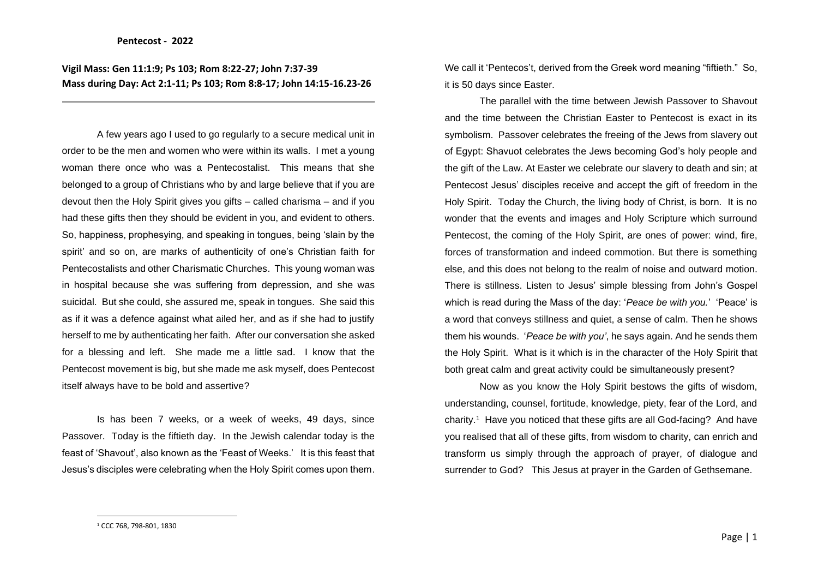**Vigil Mass: Gen 11:1:9; Ps 103; Rom 8:22-27; John 7:37-39 Mass during Day: Act 2:1-11; Ps 103; Rom 8:8-17; John 14:15-16.23-26**

A few years ago I used to go regularly to a secure medical unit in order to be the men and women who were within its walls. I met a young woman there once who was a Pentecostalist. This means that she belonged to a group of Christians who by and large believe that if you are devout then the Holy Spirit gives you gifts – called charisma – and if you had these gifts then they should be evident in you, and evident to others. So, happiness, prophesying, and speaking in tongues, being 'slain by the spirit' and so on, are marks of authenticity of one's Christian faith for Pentecostalists and other Charismatic Churches. This young woman was in hospital because she was suffering from depression, and she was suicidal. But she could, she assured me, speak in tongues. She said this as if it was a defence against what ailed her, and as if she had to justify herself to me by authenticating her faith. After our conversation she asked for a blessing and left. She made me a little sad. I know that the Pentecost movement is big, but she made me ask myself, does Pentecost itself always have to be bold and assertive?

Is has been 7 weeks, or a week of weeks, 49 days, since Passover. Today is the fiftieth day. In the Jewish calendar today is the feast of 'Shavout', also known as the 'Feast of Weeks.' It is this feast that Jesus's disciples were celebrating when the Holy Spirit comes upon them. We call it 'Pentecos't, derived from the Greek word meaning "fiftieth." So, it is 50 days since Easter.

The parallel with the time between Jewish Passover to Shavout and the time between the Christian Easter to Pentecost is exact in its symbolism. Passover celebrates the freeing of the Jews from slavery out of Egypt: Shavuot celebrates the Jews becoming God's holy people and the gift of the Law. At Easter we celebrate our slavery to death and sin; at Pentecost Jesus' disciples receive and accept the gift of freedom in the Holy Spirit. Today the Church, the living body of Christ, is born. It is no wonder that the events and images and Holy Scripture which surround Pentecost, the coming of the Holy Spirit, are ones of power: wind, fire, forces of transformation and indeed commotion. But there is something else, and this does not belong to the realm of noise and outward motion. There is stillness. Listen to Jesus' simple blessing from John's Gospel which is read during the Mass of the day: '*Peace be with you.*' 'Peace' is a word that conveys stillness and quiet, a sense of calm. Then he shows them his wounds. '*Peace be with you'*, he says again. And he sends them the Holy Spirit. What is it which is in the character of the Holy Spirit that both great calm and great activity could be simultaneously present?

Now as you know the Holy Spirit bestows the gifts of wisdom, understanding, counsel, fortitude, knowledge, piety, fear of the Lord, and charity.<sup>1</sup> Have you noticed that these gifts are all God-facing? And have you realised that all of these gifts, from wisdom to charity, can enrich and transform us simply through the approach of prayer, of dialogue and surrender to God? This Jesus at prayer in the Garden of Gethsemane.

<sup>1</sup> CCC 768, 798-801, 1830